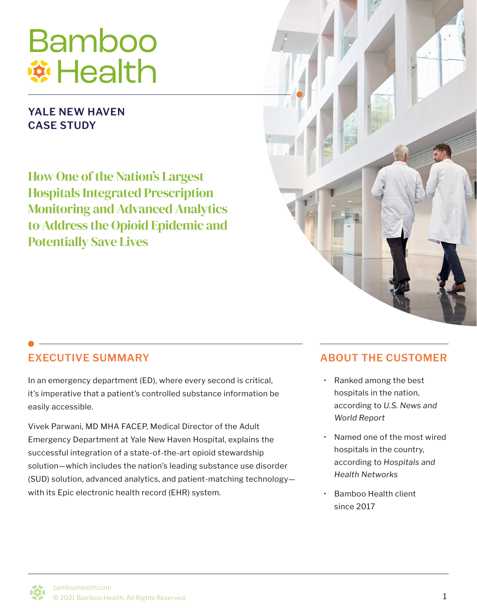# **Bamboo \*\* Health**

#### **YALE NEW HAVEN CASE STUDY**

How One of the Nation's Largest Hospitals Integrated Prescription Monitoring and Advanced Analytics to Address the Opioid Epidemic and Potentially Save Lives



In an emergency department (ED), where every second is critical, it's imperative that a patient's controlled substance information be easily accessible.

Vivek Parwani, MD MHA FACEP, Medical Director of the Adult Emergency Department at Yale New Haven Hospital, explains the successful integration of a state-of-the-art opioid stewardship solution—which includes the nation's leading substance use disorder (SUD) solution, advanced analytics, and patient-matching technology with its Epic electronic health record (EHR) system.

#### **EXECUTIVE SUMMARY ABOUT THE CUSTOMER**

- Ranked among the best hospitals in the nation, according to *U.S. News and World Report*
- Named one of the most wired hospitals in the country, according to *Hospitals and Health Networks*
- Bamboo Health client since 2017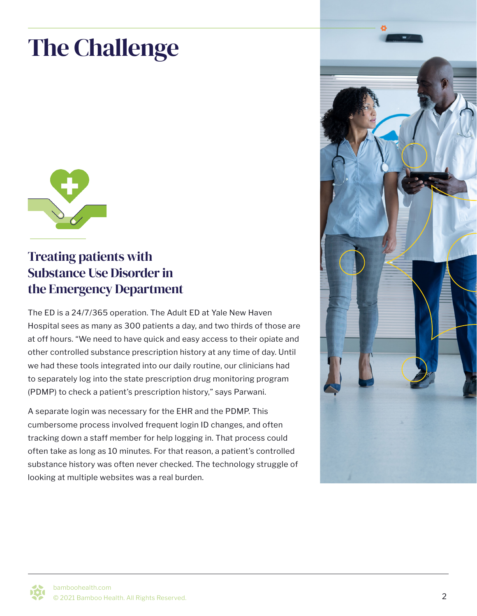# The Challenge



#### Treating patients with Substance Use Disorder in the Emergency Department

The ED is a 24/7/365 operation. The Adult ED at Yale New Haven Hospital sees as many as 300 patients a day, and two thirds of those are at off hours. "We need to have quick and easy access to their opiate and other controlled substance prescription history at any time of day. Until we had these tools integrated into our daily routine, our clinicians had to separately log into the state prescription drug monitoring program (PDMP) to check a patient's prescription history," says Parwani.

A separate login was necessary for the EHR and the PDMP. This cumbersome process involved frequent login ID changes, and often tracking down a staff member for help logging in. That process could often take as long as 10 minutes. For that reason, a patient's controlled substance history was often never checked. The technology struggle of looking at multiple websites was a real burden.

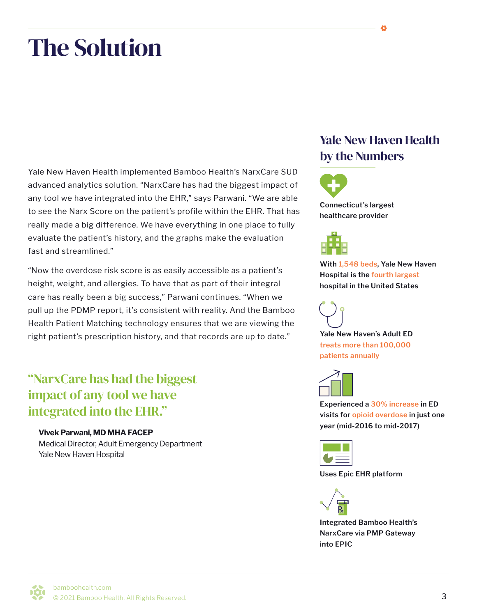## The Solution

Yale New Haven Health implemented Bamboo Health's NarxCare SUD advanced analytics solution. "NarxCare has had the biggest impact of any tool we have integrated into the EHR," says Parwani. "We are able to see the Narx Score on the patient's profile within the EHR. That has really made a big difference. We have everything in one place to fully evaluate the patient's history, and the graphs make the evaluation fast and streamlined."

"Now the overdose risk score is as easily accessible as a patient's height, weight, and allergies. To have that as part of their integral care has really been a big success," Parwani continues. "When we pull up the PDMP report, it's consistent with reality. And the Bamboo Health Patient Matching technology ensures that we are viewing the right patient's prescription history, and that records are up to date."

"NarxCare has had the biggest impact of any tool we have integrated into the EHR."

#### **Vivek Parwani, MD MHA FACEP**

Medical Director, Adult Emergency Department Yale New Haven Hospital

#### Yale New Haven Health by the Numbers





**With 1,548 beds, Yale New Haven Hospital is the fourth largest hospital in the United States**



**Yale New Haven's Adult ED treats more than 100,000 patients annually**



**Experienced a 30% increase in ED visits for opioid overdose in just one year (mid-2016 to mid-2017)**



**Uses Epic EHR platform**



**Integrated Bamboo Health's NarxCare via PMP Gateway into EPIC**

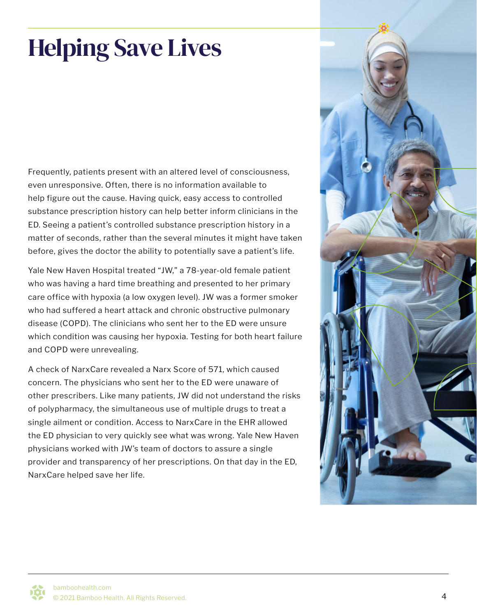# Helping Save Lives

Frequently, patients present with an altered level of consciousness, even unresponsive. Often, there is no information available to help figure out the cause. Having quick, easy access to controlled substance prescription history can help better inform clinicians in the ED. Seeing a patient's controlled substance prescription history in a matter of seconds, rather than the several minutes it might have taken before, gives the doctor the ability to potentially save a patient's life.

Yale New Haven Hospital treated "JW," a 78-year-old female patient who was having a hard time breathing and presented to her primary care office with hypoxia (a low oxygen level). JW was a former smoker who had suffered a heart attack and chronic obstructive pulmonary disease (COPD). The clinicians who sent her to the ED were unsure which condition was causing her hypoxia. Testing for both heart failure and COPD were unrevealing.

A check of NarxCare revealed a Narx Score of 571, which caused concern. The physicians who sent her to the ED were unaware of other prescribers. Like many patients, JW did not understand the risks of polypharmacy, the simultaneous use of multiple drugs to treat a single ailment or condition. Access to NarxCare in the EHR allowed the ED physician to very quickly see what was wrong. Yale New Haven physicians worked with JW's team of doctors to assure a single provider and transparency of her prescriptions. On that day in the ED, NarxCare helped save her life.

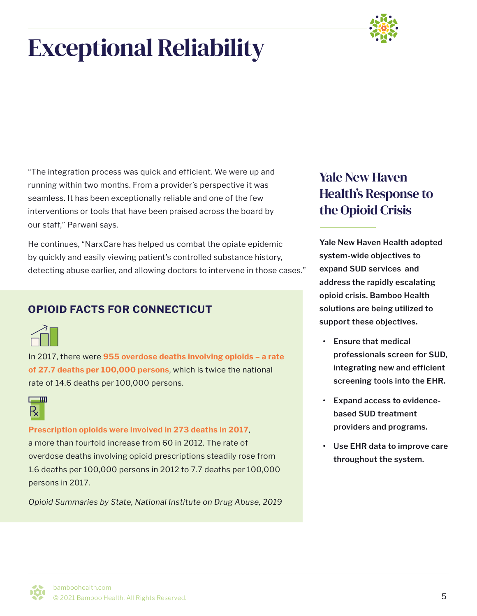# Exceptional Reliability



"The integration process was quick and efficient. We were up and running within two months. From a provider's perspective it was seamless. It has been exceptionally reliable and one of the few interventions or tools that have been praised across the board by our staff," Parwani says.

He continues, "NarxCare has helped us combat the opiate epidemic by quickly and easily viewing patient's controlled substance history, detecting abuse earlier, and allowing doctors to intervene in those cases."

#### **OPIOID FACTS FOR CONNECTICUT**



In 2017, there were **955 overdose deaths involving opioids – a rate of 27.7 deaths per 100,000 persons**, which is twice the national rate of 14.6 deaths per 100,000 persons.



**Prescription opioids were involved in 273 deaths in 2017**, a more than fourfold increase from 60 in 2012. The rate of overdose deaths involving opioid prescriptions steadily rose from 1.6 deaths per 100,000 persons in 2012 to 7.7 deaths per 100,000 persons in 2017.

*Opioid Summaries by State, National Institute on Drug Abuse, 2019*

### Yale New Haven Health's Response to the Opioid Crisis

**Yale New Haven Health adopted system-wide objectives to expand SUD services and address the rapidly escalating opioid crisis. Bamboo Health solutions are being utilized to support these objectives.** 

- **• Ensure that medical professionals screen for SUD, integrating new and efficient screening tools into the EHR.**
- **• Expand access to evidencebased SUD treatment providers and programs.**
- **• Use EHR data to improve care throughout the system.**

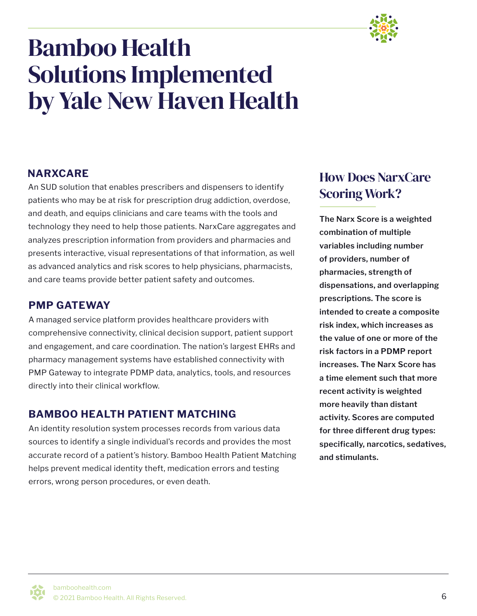

### Bamboo Health Solutions Implemented by Yale New Haven Health

#### **NARXCARE**

An SUD solution that enables prescribers and dispensers to identify patients who may be at risk for prescription drug addiction, overdose, and death, and equips clinicians and care teams with the tools and technology they need to help those patients. NarxCare aggregates and analyzes prescription information from providers and pharmacies and presents interactive, visual representations of that information, as well as advanced analytics and risk scores to help physicians, pharmacists, and care teams provide better patient safety and outcomes.

#### **PMP GATEWAY**

A managed service platform provides healthcare providers with comprehensive connectivity, clinical decision support, patient support and engagement, and care coordination. The nation's largest EHRs and pharmacy management systems have established connectivity with PMP Gateway to integrate PDMP data, analytics, tools, and resources directly into their clinical workflow.

#### **BAMBOO HEALTH PATIENT MATCHING**

An identity resolution system processes records from various data sources to identify a single individual's records and provides the most accurate record of a patient's history. Bamboo Health Patient Matching helps prevent medical identity theft, medication errors and testing errors, wrong person procedures, or even death.

#### How Does NarxCare Scoring Work?

**The Narx Score is a weighted combination of multiple variables including number of providers, number of pharmacies, strength of dispensations, and overlapping prescriptions. The score is intended to create a composite risk index, which increases as the value of one or more of the risk factors in a PDMP report increases. The Narx Score has a time element such that more recent activity is weighted more heavily than distant activity. Scores are computed for three different drug types: specifically, narcotics, sedatives, and stimulants.**